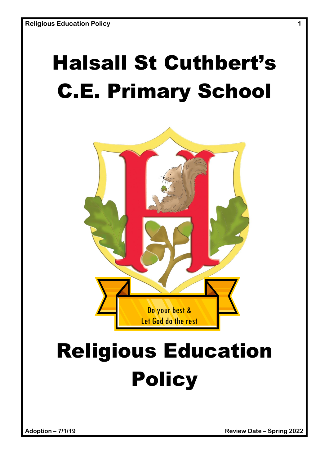## Halsall St Cuthbert's C.E. Primary School



# Religious Education **Policy**

**Adoption – 7/1/19 Review Date – Spring 2022**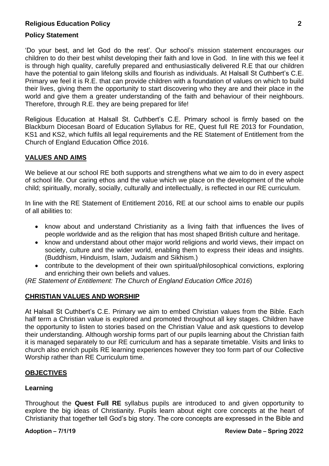#### **Policy Statement**

'Do your best, and let God do the rest'. Our school's mission statement encourages our children to do their best whilst developing their faith and love in God. In line with this we feel it is through high quality, carefully prepared and enthusiastically delivered R.E that our children have the potential to gain lifelong skills and flourish as individuals. At Halsall St Cuthbert's C.E. Primary we feel it is R.E. that can provide children with a foundation of values on which to build their lives, giving them the opportunity to start discovering who they are and their place in the world and give them a greater understanding of the faith and behaviour of their neighbours. Therefore, through R.E. they are being prepared for life!

Religious Education at Halsall St. Cuthbert's C.E. Primary school is firmly based on the Blackburn Diocesan Board of Education Syllabus for RE, Quest full RE 2013 for Foundation, KS1 and KS2, which fulfils all legal requirements and the RE Statement of Entitlement from the Church of England Education Office 2016.

#### **VALUES AND AIMS**

We believe at our school RE both supports and strengthens what we aim to do in every aspect of school life. Our caring ethos and the value which we place on the development of the whole child; spiritually, morally, socially, culturally and intellectually, is reflected in our RE curriculum.

In line with the RE Statement of Entitlement 2016, RE at our school aims to enable our pupils of all abilities to:

- know about and understand Christianity as a living faith that influences the lives of people worldwide and as the religion that has most shaped British culture and heritage.
- know and understand about other major world religions and world views, their impact on society, culture and the wider world, enabling them to express their ideas and insights. (Buddhism, Hinduism, Islam, Judaism and Sikhism.)
- contribute to the development of their own spiritual/philosophical convictions, exploring and enriching their own beliefs and values.

(*RE Statement of Entitlement: The Church of England Education Office 2016*)

#### **CHRISTIAN VALUES AND WORSHIP**

At Halsall St Cuthbert's C.E. Primary we aim to embed Christian values from the Bible. Each half term a Christian value is explored and promoted throughout all key stages. Children have the opportunity to listen to stories based on the Christian Value and ask questions to develop their understanding. Although worship forms part of our pupils learning about the Christian faith it is managed separately to our RE curriculum and has a separate timetable. Visits and links to church also enrich pupils RE learning experiences however they too form part of our Collective Worship rather than RE Curriculum time.

#### **OBJECTIVES**

#### **Learning**

Throughout the **Quest Full RE** syllabus pupils are introduced to and given opportunity to explore the big ideas of Christianity. Pupils learn about eight core concepts at the heart of Christianity that together tell God's big story. The core concepts are expressed in the Bible and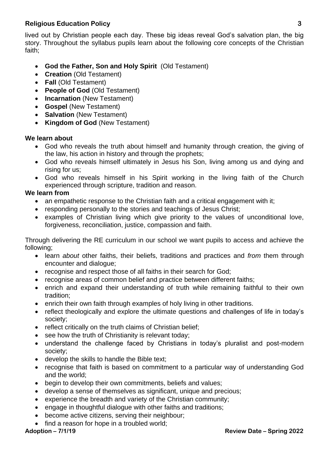lived out by Christian people each day. These big ideas reveal God's salvation plan, the big story. Throughout the syllabus pupils learn about the following core concepts of the Christian faith;

- **God the Father, Son and Holy Spirit** (Old Testament)
- **Creation** (Old Testament)
- **Fall** (Old Testament)
- **People of God** (Old Testament)
- **Incarnation** (New Testament)
- **Gospel** (New Testament)
- **Salvation** (New Testament)
- **Kingdom of God** (New Testament)

#### **We learn about**

- God who reveals the truth about himself and humanity through creation, the giving of the law, his action in history and through the prophets;
- God who reveals himself ultimately in Jesus his Son, living among us and dying and rising for us;
- God who reveals himself in his Spirit working in the living faith of the Church experienced through scripture, tradition and reason.

#### **We learn from**

- an empathetic response to the Christian faith and a critical engagement with it;
- responding personally to the stories and teachings of Jesus Christ:
- examples of Christian living which give priority to the values of unconditional love, forgiveness, reconciliation, justice, compassion and faith.

Through delivering the RE curriculum in our school we want pupils to access and achieve the following;

- learn *about* other faiths, their beliefs, traditions and practices and *from* them through encounter and dialogue;
- recognise and respect those of all faiths in their search for God;
- recognise areas of common belief and practice between different faiths:
- enrich and expand their understanding of truth while remaining faithful to their own tradition;
- enrich their own faith through examples of holy living in other traditions.
- reflect theologically and explore the ultimate questions and challenges of life in today's society;
- reflect critically on the truth claims of Christian belief;
- see how the truth of Christianity is relevant today;
- understand the challenge faced by Christians in today's pluralist and post-modern society;
- develop the skills to handle the Bible text;
- recognise that faith is based on commitment to a particular way of understanding God and the world;
- begin to develop their own commitments, beliefs and values;
- develop a sense of themselves as significant, unique and precious;
- experience the breadth and variety of the Christian community;
- engage in thoughtful dialogue with other faiths and traditions;
- become active citizens, serving their neighbour;
- find a reason for hope in a troubled world;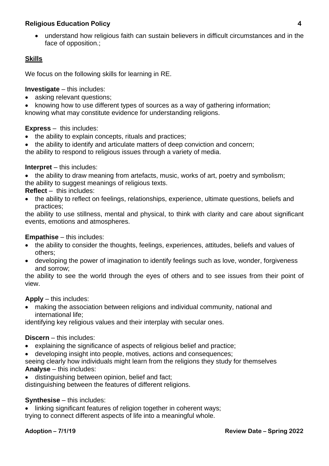understand how religious faith can sustain believers in difficult circumstances and in the face of opposition.;

## **Skills**

We focus on the following skills for learning in RE.

**Investigate** – this includes:

• asking relevant questions;

 knowing how to use different types of sources as a way of gathering information; knowing what may constitute evidence for understanding religions.

#### **Express** – this includes:

- the ability to explain concepts, rituals and practices;
- the ability to identify and articulate matters of deep conviction and concern;

the ability to respond to religious issues through a variety of media.

#### **Interpret** – this includes:

• the ability to draw meaning from artefacts, music, works of art, poetry and symbolism; the ability to suggest meanings of religious texts.

**Reflect** – this includes:

 the ability to reflect on feelings, relationships, experience, ultimate questions, beliefs and practices;

the ability to use stillness, mental and physical, to think with clarity and care about significant events, emotions and atmospheres.

#### **Empathise** – this includes:

- the ability to consider the thoughts, feelings, experiences, attitudes, beliefs and values of others;
- developing the power of imagination to identify feelings such as love, wonder, forgiveness and sorrow;

the ability to see the world through the eyes of others and to see issues from their point of view.

#### **Apply** – this includes:

 making the association between religions and individual community, national and international life;

identifying key religious values and their interplay with secular ones.

#### **Discern** – this includes:

- explaining the significance of aspects of religious belief and practice;
- developing insight into people, motives, actions and consequences;

seeing clearly how individuals might learn from the religions they study for themselves **Analyse** – this includes:

distinguishing between opinion, belief and fact;

distinguishing between the features of different religions.

#### **Synthesise** – this includes:

 linking significant features of religion together in coherent ways; trying to connect different aspects of life into a meaningful whole.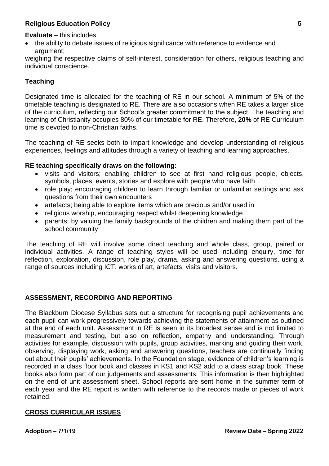**Evaluate** – this includes:

 the ability to debate issues of religious significance with reference to evidence and argument;

weighing the respective claims of self-interest, consideration for others, religious teaching and individual conscience.

#### **Teaching**

Designated time is allocated for the teaching of RE in our school. A minimum of 5% of the timetable teaching is designated to RE. There are also occasions when RE takes a larger slice of the curriculum, reflecting our School's greater commitment to the subject. The teaching and learning of Christianity occupies 80% of our timetable for RE. Therefore, **20%** of RE Curriculum time is devoted to non-Christian faiths.

The teaching of RE seeks both to impart knowledge and develop understanding of religious experiences, feelings and attitudes through a variety of teaching and learning approaches.

#### **RE teaching specifically draws on the following:**

- visits and visitors; enabling children to see at first hand religious people, objects, symbols, places, events, stories and explore with people who have faith
- role play; encouraging children to learn through familiar or unfamiliar settings and ask questions from their own encounters
- artefacts; being able to explore items which are precious and/or used in
- religious worship, encouraging respect whilst deepening knowledge
- parents; by valuing the family backgrounds of the children and making them part of the school community

The teaching of RE will involve some direct teaching and whole class, group, paired or individual activities. A range of teaching styles will be used including enquiry, time for reflection, exploration, discussion, role play, drama, asking and answering questions, using a range of sources including ICT, works of art, artefacts, visits and visitors.

#### **ASSESSMENT, RECORDING AND REPORTING**

The Blackburn Diocese Syllabus sets out a structure for recognising pupil achievements and each pupil can work progressively towards achieving the statements of attainment as outlined at the end of each unit. Assessment in RE is seen in its broadest sense and is not limited to measurement and testing, but also on reflection, empathy and understanding. Through activities for example, discussion with pupils, group activities, marking and guiding their work, observing, displaying work, asking and answering questions, teachers are continually finding out about their pupils' achievements. In the Foundation stage, evidence of children's learning is recorded in a class floor book and classes in KS1 and KS2 add to a class scrap book. These books also form part of our judgements and assessments. This information is then highlighted on the end of unit assessment sheet. School reports are sent home in the summer term of each year and the RE report is written with reference to the records made or pieces of work retained.

#### **CROSS CURRICULAR ISSUES**